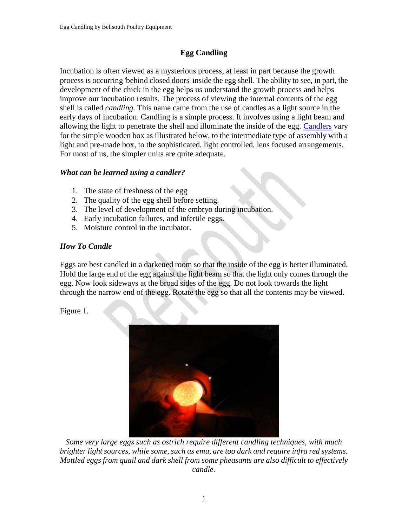# **Egg Candling**

Incubation is often viewed as a mysterious process, at least in part because the growth process is occurring 'behind closed doors' inside the egg shell. The ability to see, in part, the development of the chick in the egg helps us understand the growth process and helps improve our incubation results. The process of viewing the internal contents of the egg shell is called *candling*. This name came from the use of candles as a light source in the early days of incubation. Candling is a simple process. It involves using a light beam and allowing the light to penetrate the shell and illuminate the inside of the egg. [Candlers](https://eshop.bellsouth.com.au/epages/bellsouth.sf/en_AU/?ObjectPath=/Shops/bellsouth/Categories/Equipment/Egg_Candlers) vary for the simple wooden box as illustrated below, to the intermediate type of assembly with a light and pre-made box, to the sophisticated, light controlled, lens focused arrangements. For most of us, the simpler units are quite adequate.

## *What can be learned using a candler?*

- 1. The state of freshness of the egg
- 2. The quality of the egg shell before setting.
- 3. The level of development of the embryo during incubation.
- 4. Early incubation failures, and infertile eggs.
- 5. Moisture control in the incubator.

## *How To Candle*

Eggs are best candled in a darkened room so that the inside of the egg is better illuminated. Hold the large end of the egg against the light beam so that the light only comes through the egg. Now look sideways at the broad sides of the egg. Do not look towards the light through the narrow end of the egg. Rotate the egg so that all the contents may be viewed.

Figure 1.



*Some very large eggs such as ostrich require different candling techniques, with much brighter light sources, while some, such as emu, are too dark and require infra red systems. Mottled eggs from quail and dark shell from some pheasants are also difficult to effectively candle.*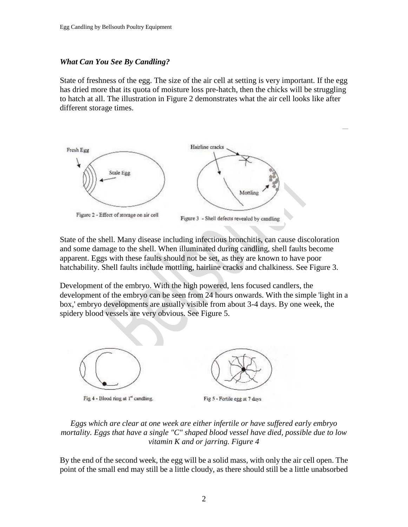### *What Can You See By Candling?*

State of freshness of the egg. The size of the air cell at setting is very important. If the egg has dried more that its quota of moisture loss pre-hatch, then the chicks will be struggling to hatch at all. The illustration in Figure 2 demonstrates what the air cell looks like after different storage times.



State of the shell. Many disease including infectious bronchitis, can cause discoloration and some damage to the shell. When illuminated during candling, shell faults become apparent. Eggs with these faults should not be set, as they are known to have poor hatchability. Shell faults include mottling, hairline cracks and chalkiness. See Figure 3.

Development of the embryo. With the high powered, lens focused candlers, the development of the embryo can be seen from 24 hours onwards. With the simple 'light in a box,' embryo developments are usually visible from about 3-4 days. By one week, the spidery blood vessels are very obvious. See Figure 5.



### *Eggs which are clear at one week are either infertile or have suffered early embryo mortality. Eggs that have a single "C" shaped blood vessel have died, possible due to low vitamin K and or jarring. Figure 4*

By the end of the second week, the egg will be a solid mass, with only the air cell open. The point of the small end may still be a little cloudy, as there should still be a little unabsorbed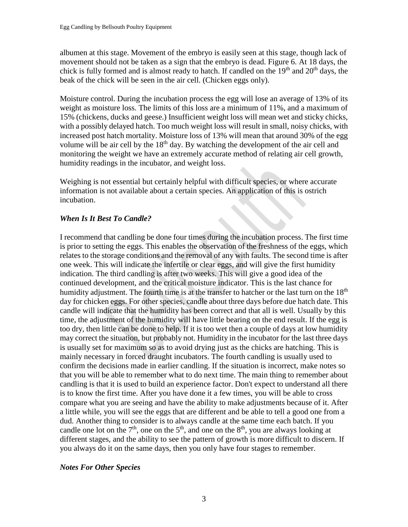albumen at this stage. Movement of the embryo is easily seen at this stage, though lack of movement should not be taken as a sign that the embryo is dead. Figure 6. At 18 days, the chick is fully formed and is almost ready to hatch. If candled on the  $19<sup>th</sup>$  and  $20<sup>th</sup>$  days, the beak of the chick will be seen in the air cell. (Chicken eggs only).

Moisture control. During the incubation process the egg will lose an average of 13% of its weight as moisture loss. The limits of this loss are a minimum of 11%, and a maximum of 15% (chickens, ducks and geese.) Insufficient weight loss will mean wet and sticky chicks, with a possibly delayed hatch. Too much weight loss will result in small, noisy chicks, with increased post hatch mortality. Moisture loss of 13% will mean that around 30% of the egg volume will be air cell by the 18<sup>th</sup> day. By watching the development of the air cell and monitoring the weight we have an extremely accurate method of relating air cell growth, humidity readings in the incubator, and weight loss.

Weighing is not essential but certainly helpful with difficult species, or where accurate information is not available about a certain species. An application of this is ostrich incubation.

## *When Is It Best To Candle?*

I recommend that candling be done four times during the incubation process. The first time is prior to setting the eggs. This enables the observation of the freshness of the eggs, which relates to the storage conditions and the removal of any with faults. The second time is after one week. This will indicate the infertile or clear eggs, and will give the first humidity indication. The third candling is after two weeks. This will give a good idea of the continued development, and the critical moisture indicator. This is the last chance for humidity adjustment. The fourth time is at the transfer to hatcher or the last turn on the  $18<sup>th</sup>$ day for chicken eggs. For other species, candle about three days before due hatch date. This candle will indicate that the humidity has been correct and that all is well. Usually by this time, the adjustment of the humidity will have little bearing on the end result. If the egg is too dry, then little can be done to help. If it is too wet then a couple of days at low humidity may correct the situation, but probably not. Humidity in the incubator for the last three days is usually set for maximum so as to avoid drying just as the chicks are hatching. This is mainly necessary in forced draught incubators. The fourth candling is usually used to confirm the decisions made in earlier candling. If the situation is incorrect, make notes so that you will be able to remember what to do next time. The main thing to remember about candling is that it is used to build an experience factor. Don't expect to understand all there is to know the first time. After you have done it a few times, you will be able to cross compare what you are seeing and have the ability to make adjustments because of it. After a little while, you will see the eggs that are different and be able to tell a good one from a dud. Another thing to consider is to always candle at the same time each batch. If you candle one lot on the  $7<sup>th</sup>$ , one on the  $5<sup>th</sup>$ , and one on the  $8<sup>th</sup>$ , you are always looking at different stages, and the ability to see the pattern of growth is more difficult to discern. If you always do it on the same days, then you only have four stages to remember.

### *Notes For Other Species*